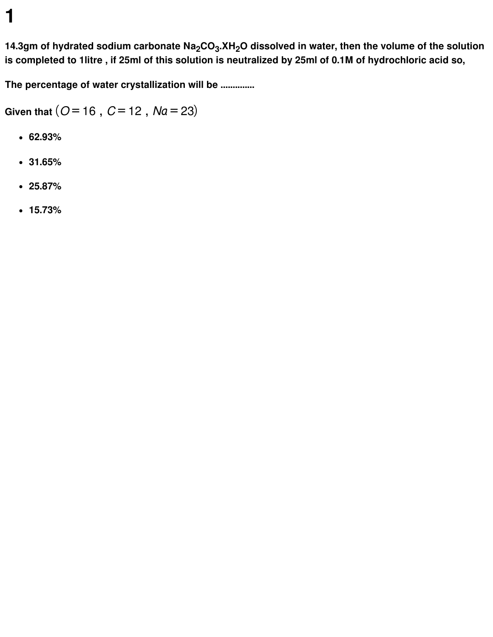14.3gm of hydrated sodium carbonate  $\mathsf{Na}_2\mathsf{CO}_3$ .XH $_2\mathsf{O}$  dissolved in water, then the volume of the solution is completed to 1litre, if 25ml of this solution is neutralized by 25ml of 0.1M of hydrochloric acid so,

**The percentage of water crystallization will be ..............**

**Given that**  $(O = 16, C = 12, Na = 23)$ 

- **62.93%**
- **31.65%**
- **25.87%**
- **15.73%**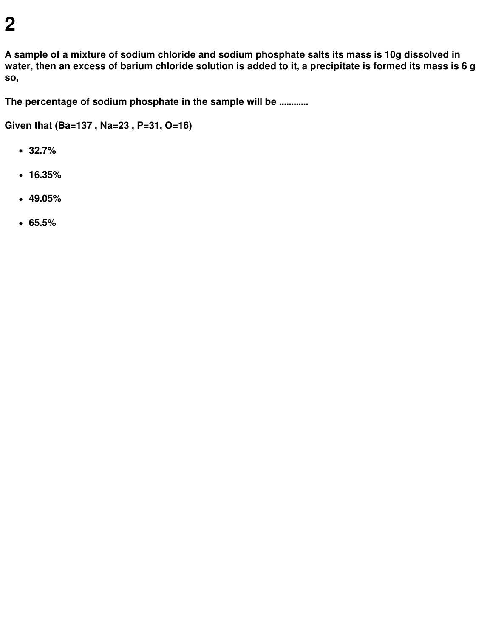**A sample of a mixture of sodium chloride and sodium phosphate salts its mass is 10g dissolved in** water, then an excess of barium chloride solution is added to it, a precipitate is formed its mass is 6 g **so,**

**The percentage of sodium phosphate in the sample will be ............**

**Given that (Ba=137 , Na=23 , P=31, O=16)**

- **32.7%**
- **16.35%**
- **49.05%**
- **65.5%**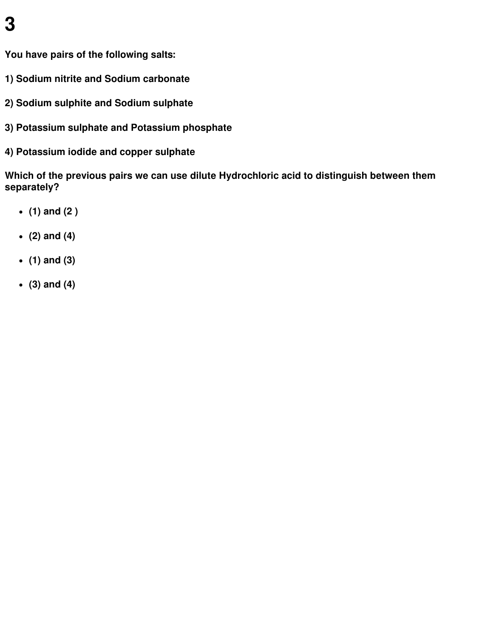**You have pairs of the following salts:**

- **1) Sodium nitrite and Sodium carbonate**
- **2) Sodium sulphite and Sodium sulphate**
- **3) Potassium sulphate and Potassium phosphate**
- **4) Potassium iodide and copper sulphate**

**Which of the previous pairs we can use dilute Hydrochloric acid to distinguish between them separately?**

- **(1) and (2 )**
- **(2) and (4)**
- **(1) and (3)**
- **(3) and (4)**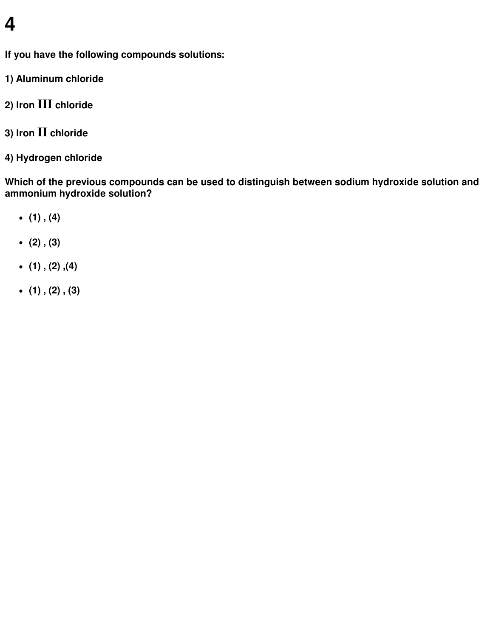**If you have the following compounds solutions:**

- **1) Aluminum chloride**
- **2) Iron III chloride**
- **3) Iron II chloride**
- **4) Hydrogen chloride**

**Which of the previous compounds can be used to distinguish between sodium hydroxide solution and ammonium hydroxide solution?**

- **(1) , (4)**
- **(2) , (3)**
- **(1) , (2) ,(4)**
- **(1) , (2) , (3)**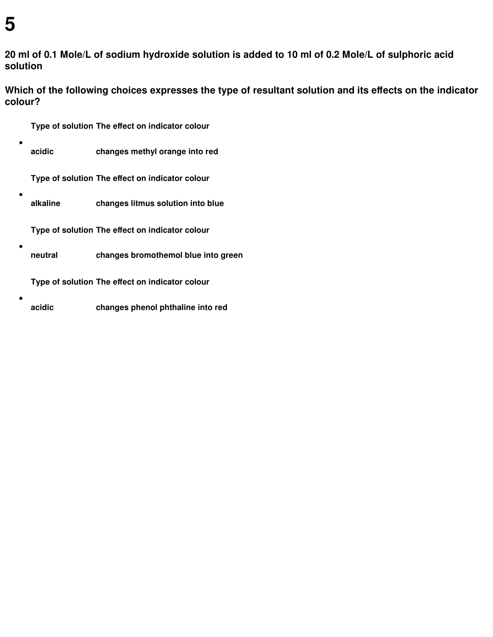$\bullet$ 

 $\bullet$ 

 $\bullet$ 

20 ml of 0.1 Mole/L of sodium hydroxide solution is added to 10 ml of 0.2 Mole/L of sulphoric acid **solution**

**Which of the following choices expresses the type of resultant solution and its effects on the indicator colour?**

- **Type of solution The effect on indicator colour**
- $\bullet$ **acidic changes methyl orange into red**

**Type of solution The effect on indicator colour**

**alkaline changes litmus solution into blue**

**Type of solution The effect on indicator colour**

**neutral changes bromothemol blue into green**

**Type of solution The effect on indicator colour**

**acidic changes phenol phthaline into red**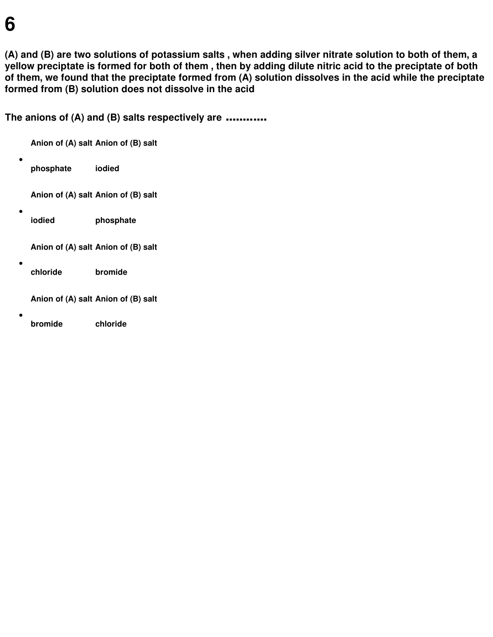(A) and (B) are two solutions of potassium salts, when adding silver nitrate solution to both of them, a yellow preciptate is formed for both of them, then by adding dilute nitric acid to the preciptate of both of them, we found that the preciptate formed from (A) solution dissolves in the acid while the preciptate **formed from (B) solution does not dissolve in the acid**

**The anions of (A) and (B) salts respectively are ............**

|  | Anion of (A) salt Anion of (B) salt |                                     |
|--|-------------------------------------|-------------------------------------|
|  | phosphate                           | iodied                              |
|  |                                     | Anion of (A) salt Anion of (B) salt |
|  | iodied                              | phosphate                           |
|  |                                     | Anion of (A) salt Anion of (B) salt |
|  | chloride                            | bromide                             |
|  |                                     | Anion of (A) salt Anion of (B) salt |
|  | bromide                             | chloride                            |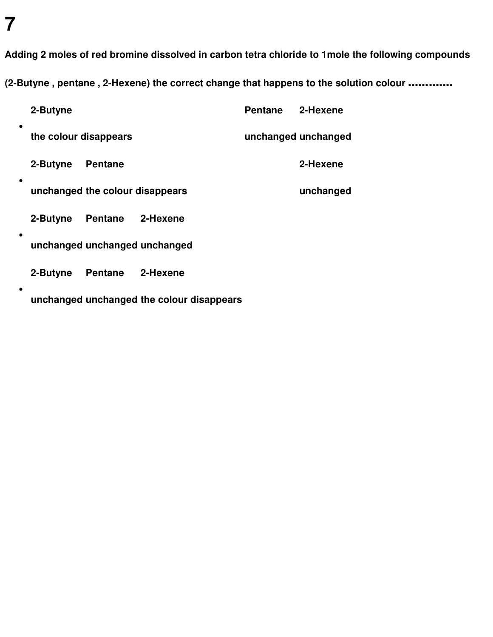**Adding 2 moles of red bromine dissolved in carbon tetra chloride to 1mole the following compounds**

**(2-Butyne , pentane , 2-Hexene) the correct change that happens to the solution colour .............**

|           | 2-Butyne              |                                 |                                           | Pentane 2-Hexene |                     |
|-----------|-----------------------|---------------------------------|-------------------------------------------|------------------|---------------------|
| ٠         | the colour disappears |                                 |                                           |                  | unchanged unchanged |
| ٠         | 2-Butyne              | <b>Pentane</b>                  |                                           |                  | 2-Hexene            |
|           |                       | unchanged the colour disappears |                                           |                  | unchanged           |
| $\bullet$ | 2-Butyne              | Pentane 2-Hexene                |                                           |                  |                     |
|           |                       |                                 | unchanged unchanged unchanged             |                  |                     |
|           | 2-Butyne              | Pentane 2-Hexene                |                                           |                  |                     |
|           |                       |                                 | unchanged unchanged the colour disappears |                  |                     |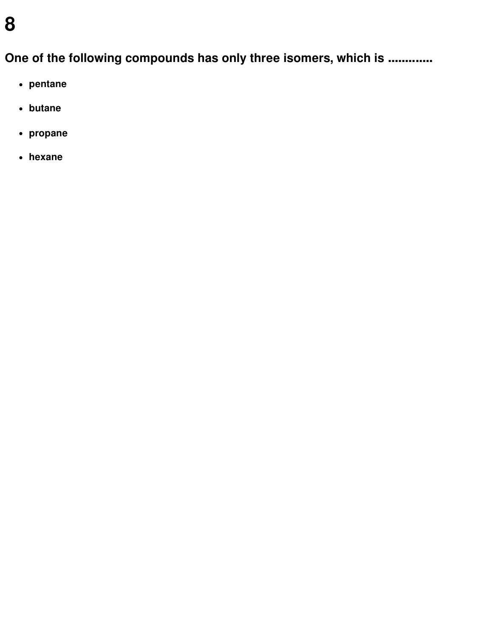**One of the following compounds has only three isomers, which is .............**

- **pentane**
- **butane**
- **propane**
- **hexane**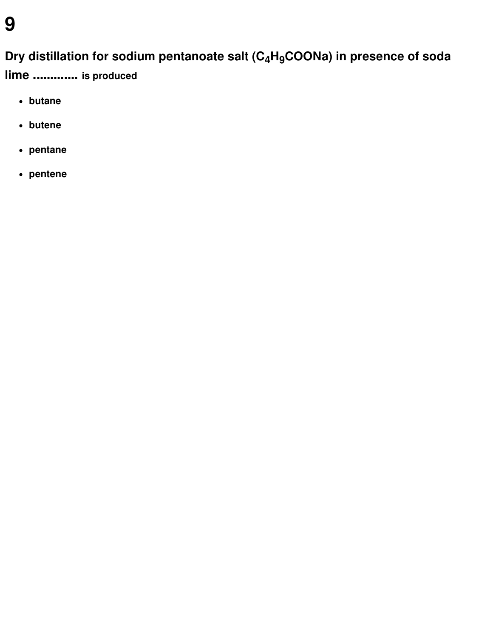#### **Dry distillation for sodium pentanoate salt (C4H9COONa) in presence of soda**

**lime ............. is produced**

- **butane**
- **butene**
- **pentane**
- **pentene**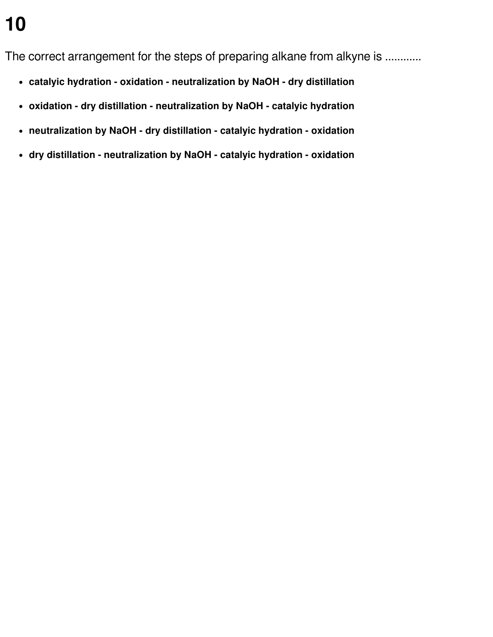The correct arrangement for the steps of preparing alkane from alkyne is ............

- **catalyic hydration - oxidation - neutralization by NaOH - dry distillation**
- **oxidation - dry distillation - neutralization by NaOH - catalyic hydration**
- **neutralization by NaOH - dry distillation - catalyic hydration - oxidation**
- **dry distillation - neutralization by NaOH - catalyic hydration - oxidation**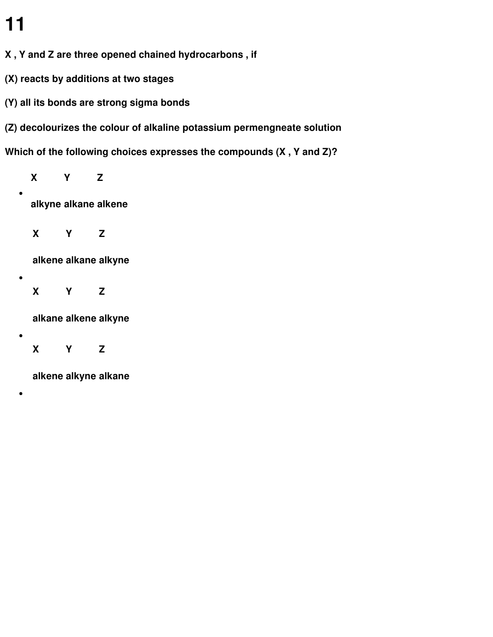$\bullet$ 

 $\bullet$ 

 $\bullet$ 

 $\bullet$ 

- **X , Y and Z are three opened chained hydrocarbons , if**
- **(X) reacts by additions at two stages**
- **(Y) all its bonds are strong sigma bonds**
- **(Z) decolourizes the colour of alkaline potassium permengneate solution**

**Which of the following choices expresses the compounds (X , Y and Z)?**

**X Y Z alkyne alkane alkene X Y Z alkene alkane alkyne X Y Z alkane alkene alkyne**

**X Y Z**

**alkene alkyne alkane**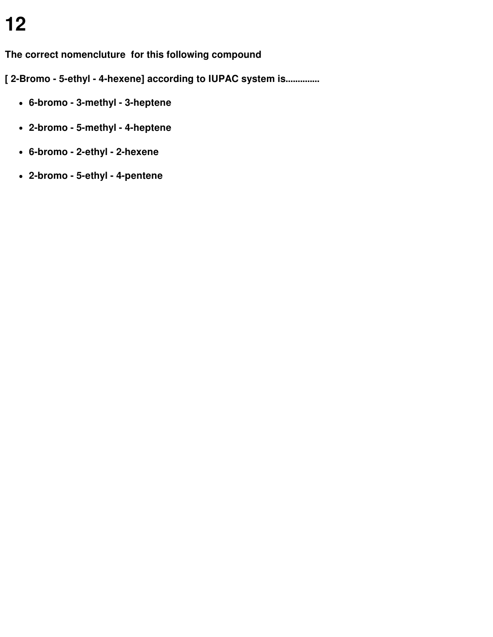**The correct nomencluture for this following compound**

**[ 2-Bromo - 5-ethyl - 4-hexene] according to IUPAC system is..............**

- **6-bromo - 3-methyl - 3-heptene**
- **2-bromo - 5-methyl - 4-heptene**
- **6-bromo - 2-ethyl - 2-hexene**
- **2-bromo - 5-ethyl - 4-pentene**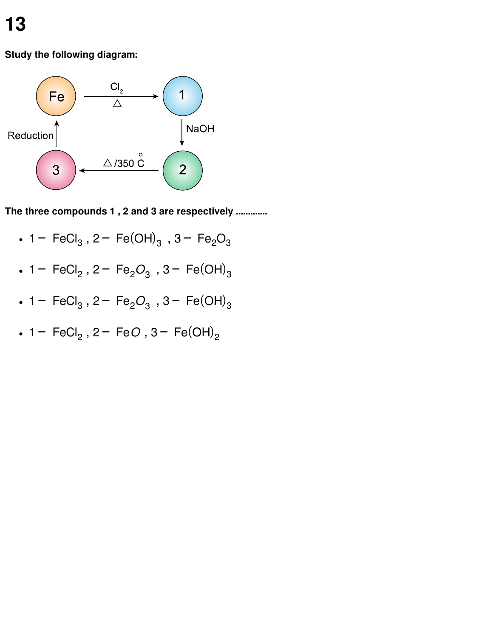#### **Study the following diagram:**



**The three compounds 1 , 2 and 3 are respectively .............**

- 1− FeCl<sub>3</sub>, 2− Fe(OH)<sub>3</sub>, 3− Fe<sub>2</sub>O<sub>3</sub>
- 1− FeCl<sub>2</sub>, 2− Fe<sub>2</sub>O<sub>3</sub>, 3− Fe(OH)<sub>3</sub>
- 1− FeCl<sub>3</sub>, 2− Fe<sub>2</sub>O<sub>3</sub>, 3− Fe(OH)<sub>3</sub>
- 1− FeCl<sub>2</sub>, 2− Fe*O*, 3− Fe(OH)<sub>2</sub>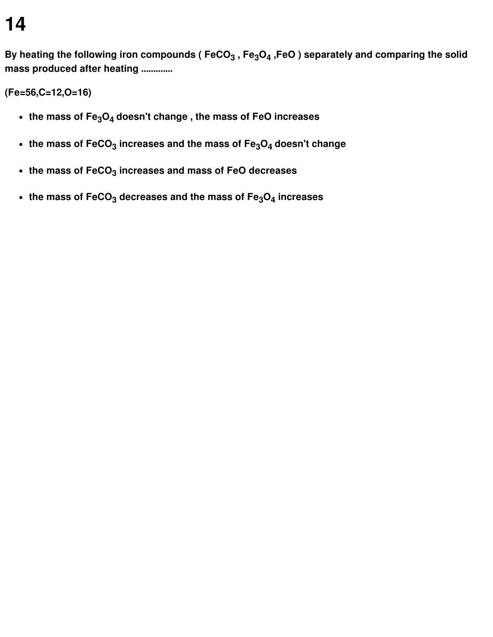By heating the following iron compounds ( FeCO $_3$  , Fe $_3$ O $_4$  ,FeO ) separately and comparing the solid **mass produced after heating .............**

**(Fe=56,C=12,O=16)**

- **the mass of Fe3O<sup>4</sup> doesn't change , the mass of FeO increases**
- **the mass of FeCO<sup>3</sup> increases and the mass of Fe3O<sup>4</sup> doesn't change**
- **the mass of FeCO<sup>3</sup> increases and mass of FeO decreases**
- **the mass of FeCO<sup>3</sup> decreases and the mass of Fe3O<sup>4</sup> increases**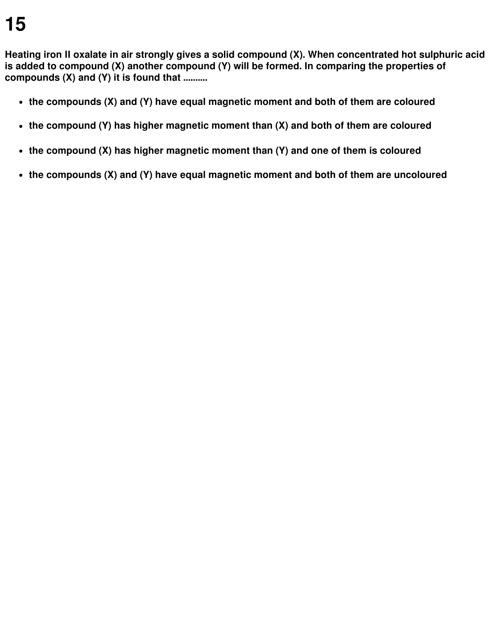**Heating iron II oxalate in air strongly gives a solid compound (X). When concentrated hot sulphuric acid is added to compound (X) another compound (Y) will be formed. In comparing the properties of compounds (X) and (Y) it is found that ..........**

- **the compounds (X) and (Y) have equal magnetic moment and both of them are coloured**
- **the compound (Y) has higher magnetic moment than (X) and both of them are coloured**
- **the compound (X) has higher magnetic moment than (Y) and one of them is coloured**
- **the compounds (X) and (Y) have equal magnetic moment and both of them are uncoloured**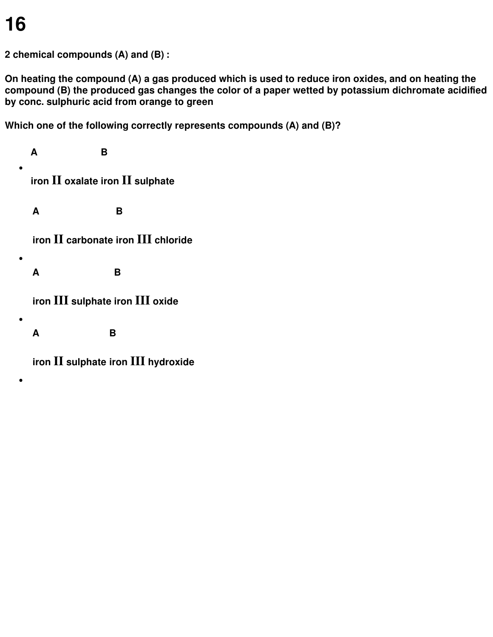$\bullet$ 

 $\bullet$ 

 $\bullet$ 

 $\bullet$ 

**2 chemical compounds (A) and (B) :**

**On heating the compound (A) a gas produced which is used to reduce iron oxides, and on heating the compound (B) the produced gas changes the color of a paper wetted by potassium dichromate acidified by conc. sulphuric acid from orange to green**

**Which one of the following correctly represents compounds (A) and (B)?**

**A B iron II oxalate iron II sulphate A B iron II carbonate iron III chloride A B iron III sulphate iron III oxide A B**

**iron II sulphate iron III hydroxide**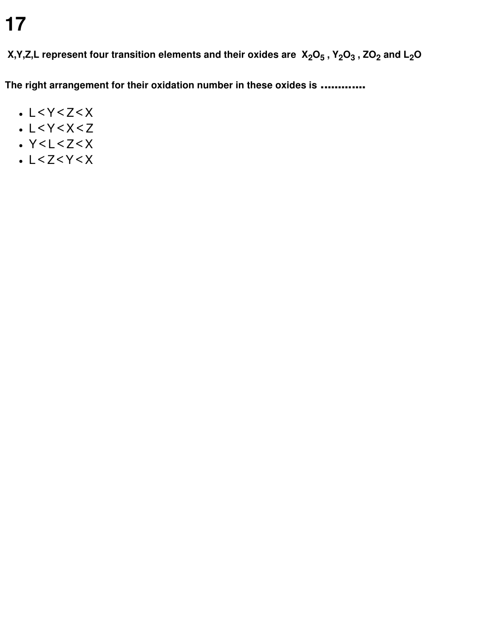X,Y,Z,L represent four transition elements and their oxides are  $\ X_2O_5$  ,  $\ Y_2O_3$  , ZO $_2$  and L $_2$ O

**The right arrangement for their oxidation number in these oxides is .............**

- $-L < Y < Z < X$
- $-L < Y < X < Z$
- $\cdot$  Y<L<Z<X
- $-L < Z < Y < X$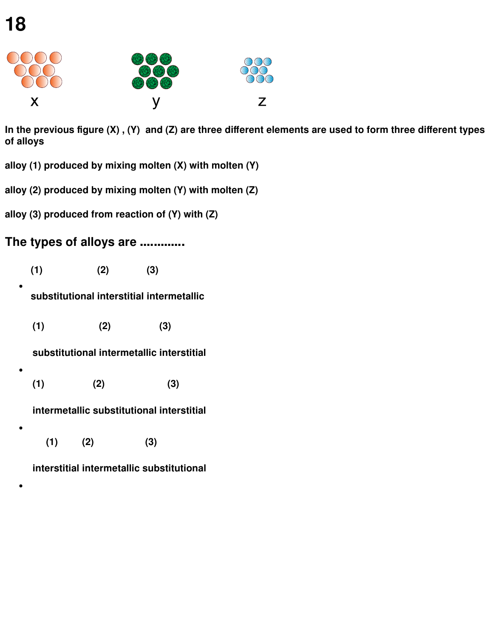$\bullet$ 

 $\bullet$ 

 $\bullet$ 

 $\bullet$ 



In the previous figure  $(X)$ ,  $(Y)$  and  $(Z)$  are three different elements are used to form three different types **of alloys**

**alloy (1) produced by mixing molten (X) with molten (Y)**

**alloy (2) produced by mixing molten (Y) with molten (Z)**

**alloy (3) produced from reaction of (Y) with (Z)**

#### **The types of alloys are .............**

**(1) (2) (3)**

#### **substitutional interstitial intermetallic**

**(1) (2) (3)**

**substitutional intermetallic interstitial**

**(1) (2) (3)**

#### **intermetallic substitutional interstitial**

**(1) (2) (3)**

**interstitial intermetallic substitutional**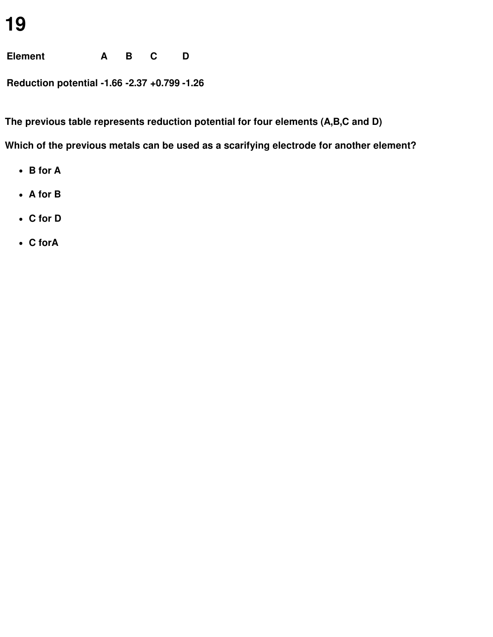**Element A B C D**

**Reduction potential -1.66 -2.37 +0.799 -1.26**

**The previous table represents reduction potential for four elements (A,B,C and D)**

**Which of the previous metals can be used as a scarifying electrode for another element?**

- **B for A**
- **A for B**
- **C for D**
- **C forA**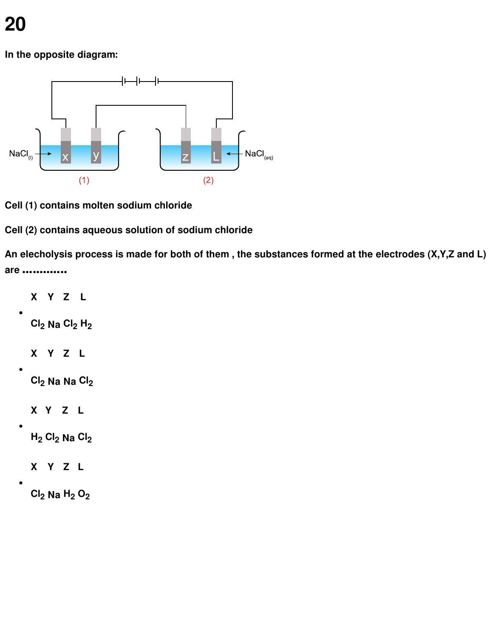**In the opposite diagram:**



**Cell (1) contains molten sodium chloride**

**Cell (2) contains aqueous solution of sodium chloride**

An elecholysis process is made for both of them, the substances formed at the electrodes (X, Y, Z and L) **are .............**

```
X Y Z L
\bulletCl2 Na Cl2 H2
  X Y Z L
  Cl2 Na Na Cl2
  X Y Z L
\bulletH2 Cl2 Na Cl2
  X Y Z L
\bulletCl2 Na H2 O2
```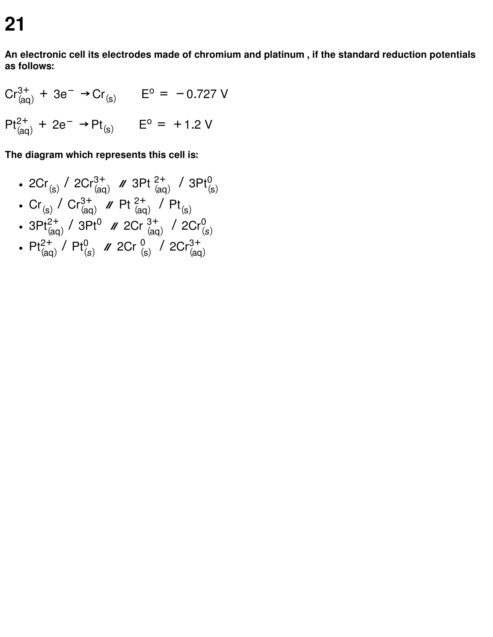**An electronic cell its electrodes made of chromium and platinum , if the standard reduction potentials as follows:**

$$
Cr_{(aq)}^{3+} + 3e^- \rightarrow Cr_{(s)} \qquad E^o = -0.727 \text{ V}
$$
  
Pt<sup>2+</sup><sub>(aq)</sub> + 2e<sup>-</sup> → Pt<sub>(s)</sub> E<sup>o</sup> = +1.2 V

**The diagram which represents this cell is:**

- $2Cr_{(s)}^2$  /  $2Cr_{(aq)}^{3+}$  /  $3Pt_{(aq)}^{2+}$  /  $3Pt_{(s)}^0$ 0
- $Cr_{(s)}^7$  /  $Cr_{(aq)}^{3+}$  /  $Pt_{(aq)}^{2+}$  /  $Pt_{(s)}$
- $3Pt_{(aq)}^{2+}$  /  $3Pt^{0}$  //  $2Cr_{(aq)}^{3+}$  /  $2Cr_{(s)}^{0}$ 0
- $Pt^{2+}_{(aq)}$  /  $Pt^{0}_{(s)}$  /  $2Cr^{0}_{(s)}$  /  $2Cr^{3+}_{(aq)}$ 3+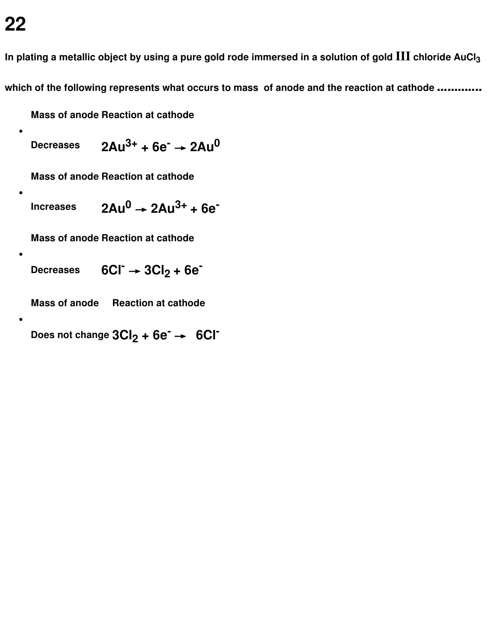$\bullet$ 

 $\bullet$ 

 $\bullet$ 

In plating a metallic object by using a pure gold rode immersed in a solution of gold  $III$  chloride AuCl<sub>3</sub> **which of the following represents what occurs to mass of anode and the reaction at cathode .............**

**Mass of anode Reaction at cathode**

**Decreases 3+ + 6e - → 2Au 0**

**Mass of anode Reaction at cathode**

**Increases <sup>0</sup> → 2Au 3+ + 6e -**

**Mass of anode Reaction at cathode**

**Decreases - <sup>→</sup> 3Cl<sup>2</sup> <sup>+</sup> 6e -**

**Mass of anode Reaction at cathode**

**Does not change 3Cl<sup>2</sup> + 6e - → 6Cl -**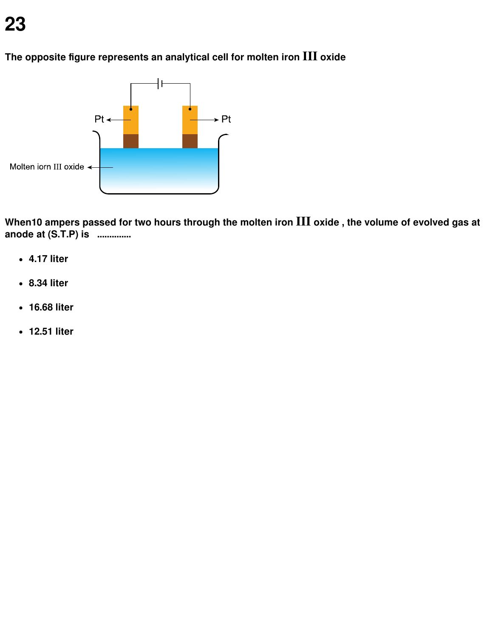

**The opposite figure represents an analytical cell for molten iron III oxide**

When10 ampers passed for two hours through the molten iron III oxide, the volume of evolved gas at **anode at (S.T.P) is ..............**

- **4.17 liter**
- **8.34 liter**
- **16.68 liter**
- **12.51 liter**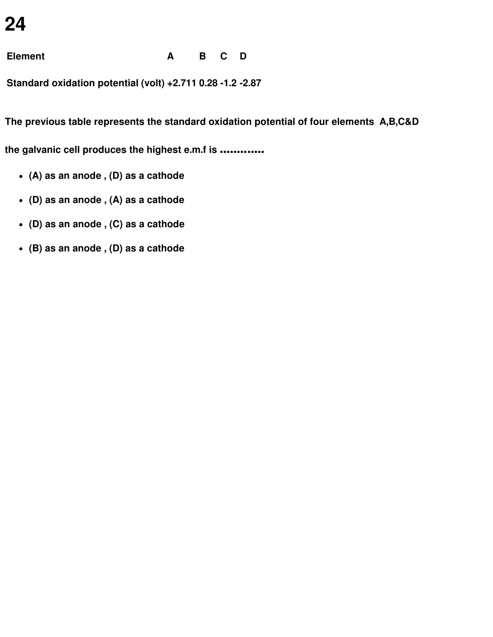**Element A B C D**

**Standard oxidation potential (volt) +2.711 0.28 -1.2 -2.87**

**The previous table represents the standard oxidation potential of four elements A,B,C&D**

**the galvanic cell produces the highest e.m.f is .............**

- **(A) as an anode , (D) as a cathode**
- **(D) as an anode , (A) as a cathode**
- **(D) as an anode , (C) as a cathode**
- **(B) as an anode , (D) as a cathode**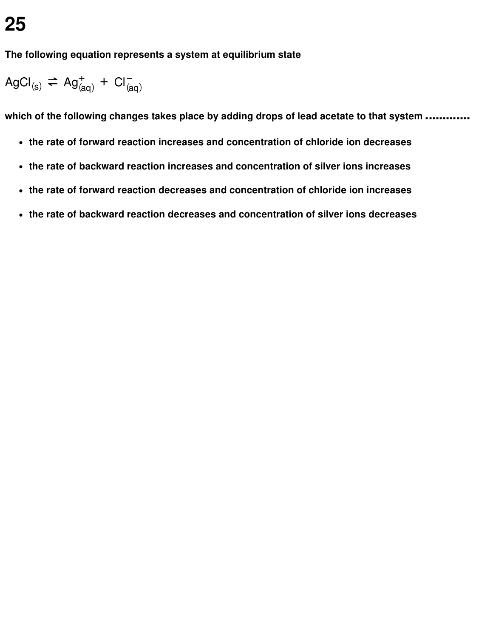**The following equation represents a system at equilibrium state**

$$
AgCl_{(s)} \rightleftharpoons Ag_{(aq)}^+ + Cl_{(aq)}^-
$$

**which of the following changes takes place by adding drops of lead acetate to that system .............**

- **the rate of forward reaction increases and concentration of chloride ion decreases**
- **the rate of backward reaction increases and concentration of silver ions increases**
- **the rate of forward reaction decreases and concentration of chloride ion increases**
- **the rate of backward reaction decreases and concentration of silver ions decreases**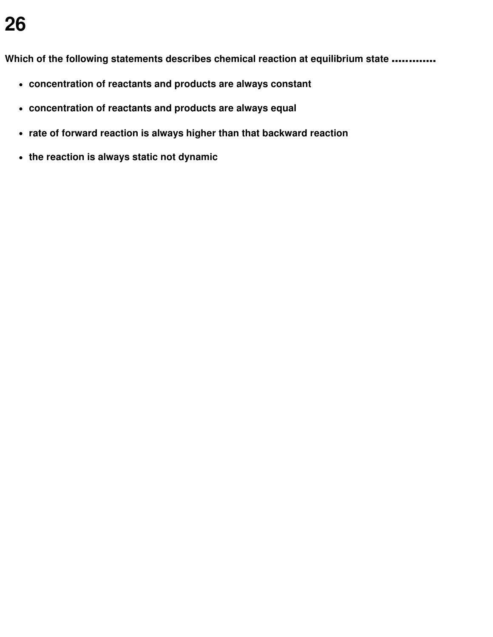**Which of the following statements describes chemical reaction at equilibrium state .............**

- **concentration of reactants and products are always constant**
- **concentration of reactants and products are always equal**
- **rate of forward reaction is always higher than that backward reaction**
- **the reaction is always static not dynamic**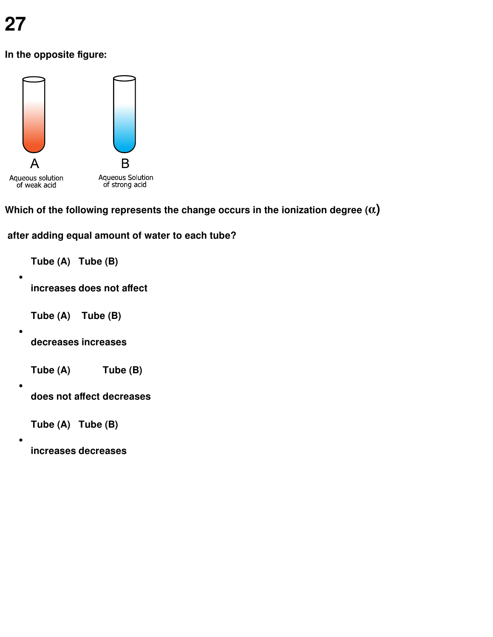$\bullet$ 

 $\bullet$ 

 $\bullet$ 

 $\bullet$ 

**In the opposite figure:**



**Which of the following represents the change occurs in the ionization degree (α)**

**after adding equal amount of water to each tube?**

**Tube (A) Tube (B)**

**increases does not affect**

- **Tube (A) Tube (B)**
- **decreases increases**
- **Tube (A) Tube (B)**
- **does not affect decreases**

**Tube (A) Tube (B)**

**increases decreases**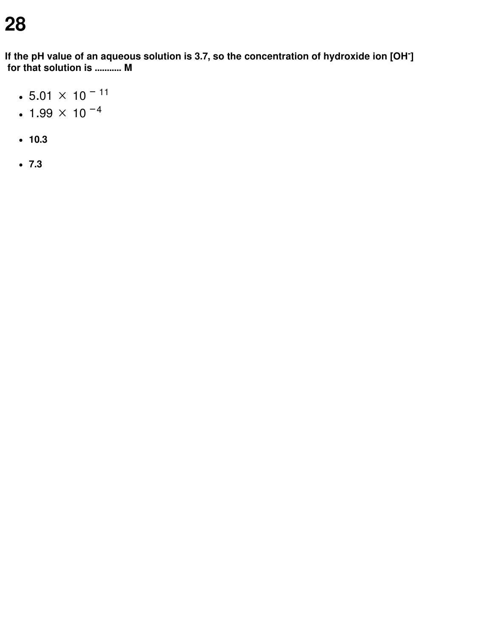**If the pH value of an aqueous solution is 3.7, so the concentration of hydroxide ion [OH - ] for that solution is ........... M**

- $\cdot$  5.01  $\times$  10<sup>-11</sup>
- $\cdot$  1.99  $\times$  10  $^{-4}$
- **10.3**
- **7.3**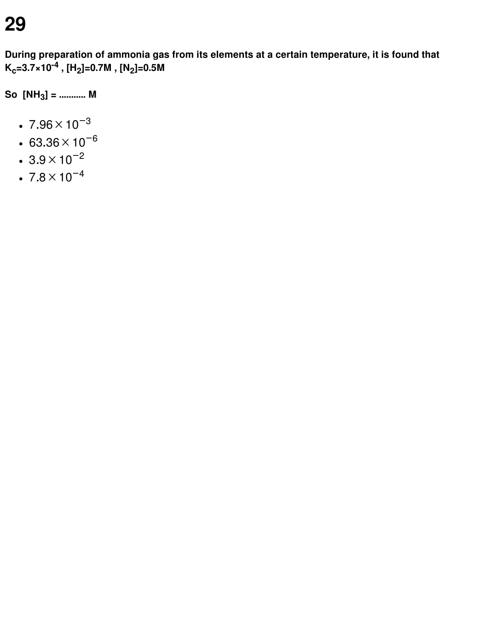**During preparation of ammonia gas from its elements at a certain temperature, it is found that Kc=3.7×10 -4 , [H<sup>2</sup> ]=0.7M , [N<sup>2</sup> ]=0.5M**

**So [NH<sup>3</sup> ] = ........... M**

- $7.96 \times 10^{-3}$
- $63.36 \times 10^{-6}$
- $\cdot$  3.9  $\times$  10<sup>-2</sup>
- $•7.8\times10^{-4}$